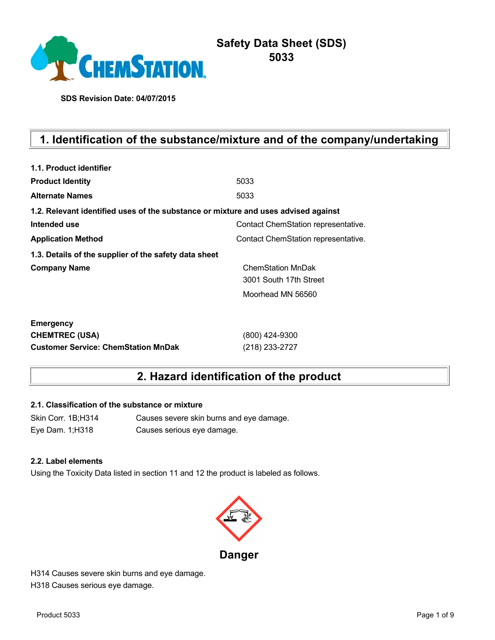

# **Safety Data Sheet (SDS) 5033**

**SDS Revision Date: 04/07/2015**

# **1. Identification of the substance/mixture and of the company/undertaking**

| 1.1. Product identifier                                                            |                                     |
|------------------------------------------------------------------------------------|-------------------------------------|
| <b>Product Identity</b>                                                            | 5033                                |
| <b>Alternate Names</b>                                                             | 5033                                |
| 1.2. Relevant identified uses of the substance or mixture and uses advised against |                                     |
| Intended use                                                                       | Contact ChemStation representative. |
| <b>Application Method</b>                                                          | Contact ChemStation representative. |
| 1.3. Details of the supplier of the safety data sheet                              |                                     |
| <b>Company Name</b>                                                                | <b>ChemStation MnDak</b>            |
|                                                                                    | 3001 South 17th Street              |
|                                                                                    | Moorhead MN 56560                   |
| <b>Emergency</b>                                                                   |                                     |
| <b>CHEMTREC (USA)</b>                                                              | (800) 424-9300                      |
| <b>Customer Service: ChemStation MnDak</b>                                         | (218) 233-2727                      |

# **2. Hazard identification of the product**

## **2.1. Classification of the substance or mixture**

Skin Corr. 1B;H314 Causes severe skin burns and eye damage. Eye Dam. 1;H318 Causes serious eye damage.

#### **2.2. Label elements**

Using the Toxicity Data listed in section 11 and 12 the product is labeled as follows.



H314 Causes severe skin burns and eye damage. H318 Causes serious eye damage.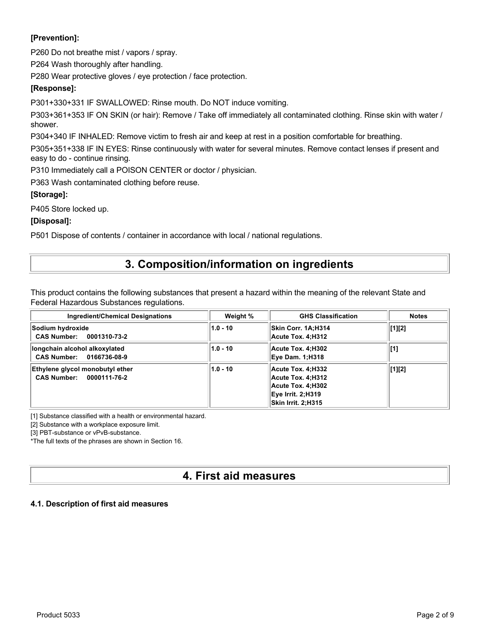## **[Prevention]:**

P260 Do not breathe mist / vapors / spray.

P264 Wash thoroughly after handling.

P280 Wear protective gloves / eye protection / face protection.

## **[Response]:**

P301+330+331 IF SWALLOWED: Rinse mouth. Do NOT induce vomiting.

P303+361+353 IF ON SKIN (or hair): Remove / Take off immediately all contaminated clothing. Rinse skin with water / shower.

P304+340 IF INHALED: Remove victim to fresh air and keep at rest in a position comfortable for breathing.

P305+351+338 IF IN EYES: Rinse continuously with water for several minutes. Remove contact lenses if present and easy to do - continue rinsing.

P310 Immediately call a POISON CENTER or doctor / physician.

P363 Wash contaminated clothing before reuse.

### **[Storage]:**

P405 Store locked up.

### **[Disposal]:**

P501 Dispose of contents / container in accordance with local / national regulations.

# **3. Composition/information on ingredients**

This product contains the following substances that present a hazard within the meaning of the relevant State and Federal Hazardous Substances regulations.

| Ingredient/Chemical Designations                            | Weight %   | <b>GHS Classification</b>                                                                              | <b>Notes</b> |
|-------------------------------------------------------------|------------|--------------------------------------------------------------------------------------------------------|--------------|
| Sodium hydroxide<br>CAS Number: 0001310-73-2                | $1.0 - 10$ | Skin Corr. 1A:H314<br>Acute Tox. 4:H312                                                                | [1][2]       |
| longchain alcohol alkoxylated<br>CAS Number: 0166736-08-9   | $1.0 - 10$ | Acute Tox. 4:H302<br><b>Eye Dam. 1;H318</b>                                                            | [1]          |
| Ethylene glycol monobutyl ether<br>CAS Number: 0000111-76-2 | $1.0 - 10$ | Acute Tox. 4;H332<br>Acute Tox. 4:H312<br>Acute Tox. 4:H302<br>Eve Irrit. 2:H319<br>Skin Irrit. 2:H315 | [1][2]       |

[1] Substance classified with a health or environmental hazard.

[2] Substance with a workplace exposure limit.

[3] PBT-substance or vPvB-substance.

\*The full texts of the phrases are shown in Section 16.

# **4. First aid measures**

### **4.1. Description of first aid measures**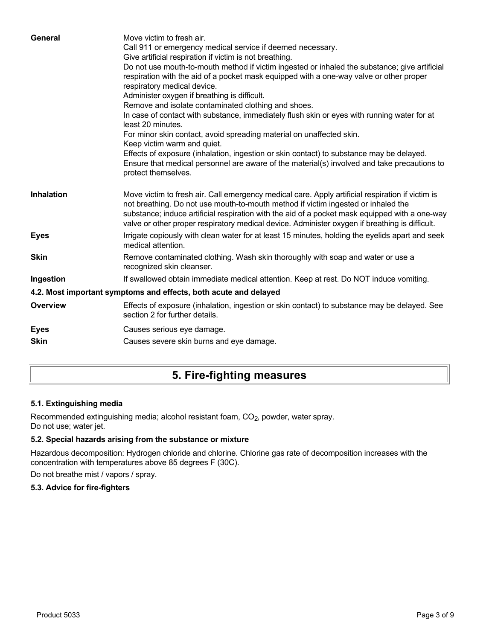| General           | Move victim to fresh air.<br>Call 911 or emergency medical service if deemed necessary.<br>Give artificial respiration if victim is not breathing.<br>Do not use mouth-to-mouth method if victim ingested or inhaled the substance; give artificial<br>respiration with the aid of a pocket mask equipped with a one-way valve or other proper<br>respiratory medical device.<br>Administer oxygen if breathing is difficult.<br>Remove and isolate contaminated clothing and shoes.<br>In case of contact with substance, immediately flush skin or eyes with running water for at<br>least 20 minutes.<br>For minor skin contact, avoid spreading material on unaffected skin.<br>Keep victim warm and quiet.<br>Effects of exposure (inhalation, ingestion or skin contact) to substance may be delayed.<br>Ensure that medical personnel are aware of the material(s) involved and take precautions to<br>protect themselves. |
|-------------------|-----------------------------------------------------------------------------------------------------------------------------------------------------------------------------------------------------------------------------------------------------------------------------------------------------------------------------------------------------------------------------------------------------------------------------------------------------------------------------------------------------------------------------------------------------------------------------------------------------------------------------------------------------------------------------------------------------------------------------------------------------------------------------------------------------------------------------------------------------------------------------------------------------------------------------------|
| <b>Inhalation</b> | Move victim to fresh air. Call emergency medical care. Apply artificial respiration if victim is<br>not breathing. Do not use mouth-to-mouth method if victim ingested or inhaled the<br>substance; induce artificial respiration with the aid of a pocket mask equipped with a one-way<br>valve or other proper respiratory medical device. Administer oxygen if breathing is difficult.                                                                                                                                                                                                                                                                                                                                                                                                                                                                                                                                         |
| <b>Eyes</b>       | Irrigate copiously with clean water for at least 15 minutes, holding the eyelids apart and seek<br>medical attention.                                                                                                                                                                                                                                                                                                                                                                                                                                                                                                                                                                                                                                                                                                                                                                                                             |
| <b>Skin</b>       | Remove contaminated clothing. Wash skin thoroughly with soap and water or use a<br>recognized skin cleanser.                                                                                                                                                                                                                                                                                                                                                                                                                                                                                                                                                                                                                                                                                                                                                                                                                      |
| Ingestion         | If swallowed obtain immediate medical attention. Keep at rest. Do NOT induce vomiting.                                                                                                                                                                                                                                                                                                                                                                                                                                                                                                                                                                                                                                                                                                                                                                                                                                            |
|                   | 4.2. Most important symptoms and effects, both acute and delayed                                                                                                                                                                                                                                                                                                                                                                                                                                                                                                                                                                                                                                                                                                                                                                                                                                                                  |
| <b>Overview</b>   | Effects of exposure (inhalation, ingestion or skin contact) to substance may be delayed. See<br>section 2 for further details.                                                                                                                                                                                                                                                                                                                                                                                                                                                                                                                                                                                                                                                                                                                                                                                                    |
| <b>Eyes</b>       | Causes serious eye damage.                                                                                                                                                                                                                                                                                                                                                                                                                                                                                                                                                                                                                                                                                                                                                                                                                                                                                                        |
| <b>Skin</b>       | Causes severe skin burns and eye damage.                                                                                                                                                                                                                                                                                                                                                                                                                                                                                                                                                                                                                                                                                                                                                                                                                                                                                          |
|                   |                                                                                                                                                                                                                                                                                                                                                                                                                                                                                                                                                                                                                                                                                                                                                                                                                                                                                                                                   |

# **5. Fire-fighting measures**

## **5.1. Extinguishing media**

Recommended extinguishing media; alcohol resistant foam, CO<sub>2</sub>, powder, water spray. Do not use; water jet.

## **5.2. Special hazards arising from the substance or mixture**

Hazardous decomposition: Hydrogen chloride and chlorine. Chlorine gas rate of decomposition increases with the concentration with temperatures above 85 degrees F (30C).

Do not breathe mist / vapors / spray.

### **5.3. Advice for fire-fighters**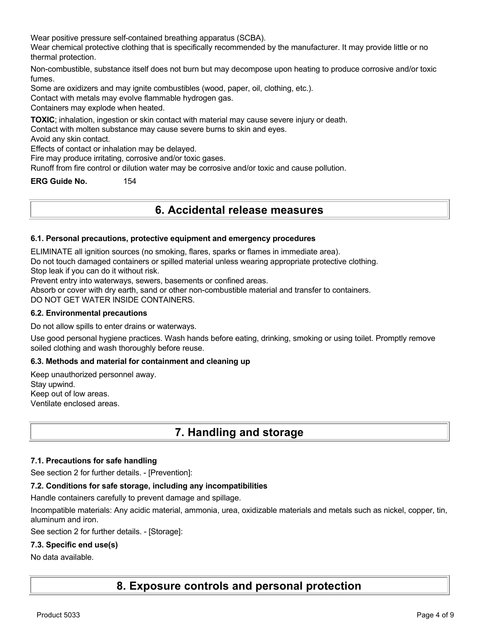Wear positive pressure self-contained breathing apparatus (SCBA).

Wear chemical protective clothing that is specifically recommended by the manufacturer. It may provide little or no thermal protection.

Non-combustible, substance itself does not burn but may decompose upon heating to produce corrosive and/or toxic fumes.

Some are oxidizers and may ignite combustibles (wood, paper, oil, clothing, etc.).

Contact with metals may evolve flammable hydrogen gas.

Containers may explode when heated.

**TOXIC**; inhalation, ingestion or skin contact with material may cause severe injury or death.

Contact with molten substance may cause severe burns to skin and eyes.

Avoid any skin contact.

Effects of contact or inhalation may be delayed.

Fire may produce irritating, corrosive and/or toxic gases.

Runoff from fire control or dilution water may be corrosive and/or toxic and cause pollution.

**ERG Guide No.** 154

# **6. Accidental release measures**

#### **6.1. Personal precautions, protective equipment and emergency procedures**

ELIMINATE all ignition sources (no smoking, flares, sparks or flames in immediate area).

Do not touch damaged containers or spilled material unless wearing appropriate protective clothing.

Stop leak if you can do it without risk.

Prevent entry into waterways, sewers, basements or confined areas.

Absorb or cover with dry earth, sand or other non-combustible material and transfer to containers.

DO NOT GET WATER INSIDE CONTAINERS.

#### **6.2. Environmental precautions**

Do not allow spills to enter drains or waterways.

Use good personal hygiene practices. Wash hands before eating, drinking, smoking or using toilet. Promptly remove soiled clothing and wash thoroughly before reuse.

#### **6.3. Methods and material for containment and cleaning up**

Keep unauthorized personnel away. Stay upwind. Keep out of low areas. Ventilate enclosed areas.

# **7. Handling and storage**

#### **7.1. Precautions for safe handling**

See section 2 for further details. - [Prevention]:

#### **7.2. Conditions for safe storage, including any incompatibilities**

Handle containers carefully to prevent damage and spillage.

Incompatible materials: Any acidic material, ammonia, urea, oxidizable materials and metals such as nickel, copper, tin, aluminum and iron.

See section 2 for further details. - [Storage]:

#### **7.3. Specific end use(s)**

#### No data available.

**8. Exposure controls and personal protection**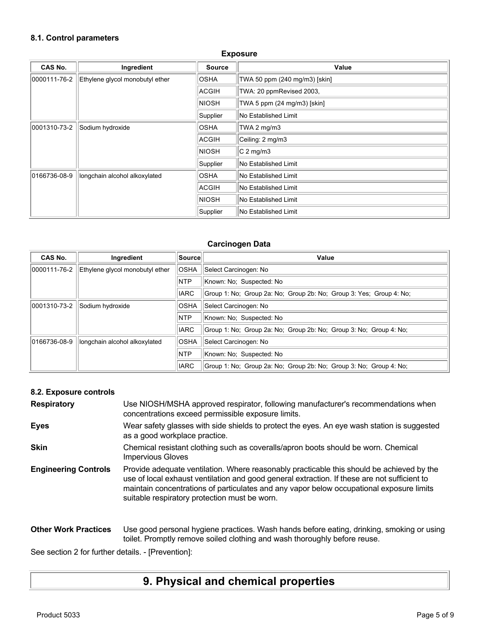# **8.1. Control parameters**

| <b>Exposure</b> |                                 |               |                               |
|-----------------|---------------------------------|---------------|-------------------------------|
| CAS No.         | Ingredient                      | <b>Source</b> | Value                         |
| 0000111-76-2    | Ethylene glycol monobutyl ether | <b>OSHA</b>   | TWA 50 ppm (240 mg/m3) [skin] |
|                 |                                 | ACGIH         | TWA: 20 ppmRevised 2003,      |
|                 |                                 | <b>NIOSH</b>  | TWA 5 ppm (24 mg/m3) [skin]   |
|                 |                                 | Supplier      | No Established Limit          |
| 0001310-73-2    | Sodium hydroxide                | <b>OSHA</b>   | TWA 2 mg/m3                   |
|                 |                                 | ACGIH         | Ceiling: 2 mg/m3              |
|                 |                                 | <b>NIOSH</b>  | $C2$ mg/m3                    |
|                 |                                 | Supplier      | No Established Limit          |
| 0166736-08-9    | longchain alcohol alkoxylated   | <b>OSHA</b>   | No Established Limit          |
|                 |                                 | ACGIH         | <b>No Established Limit</b>   |
|                 |                                 | <b>NIOSH</b>  | No Established Limit          |
|                 |                                 | Supplier      | No Established Limit          |

## **Carcinogen Data**

| <b>CAS No.</b> | Ingredient                      | Source      | Value                                                               |
|----------------|---------------------------------|-------------|---------------------------------------------------------------------|
| 0000111-76-2   | Ethylene glycol monobutyl ether | <b>OSHA</b> | Select Carcinogen: No                                               |
|                |                                 | <b>NTP</b>  | Known: No; Suspected: No                                            |
|                |                                 | <b>IARC</b> | Group 1: No: Group 2a: No: Group 2b: No: Group 3: Yes: Group 4: No: |
| 0001310-73-2   | Sodium hydroxide                | <b>OSHA</b> | Select Carcinogen: No                                               |
|                |                                 | <b>NTP</b>  | Known: No: Suspected: No                                            |
|                |                                 | <b>IARC</b> | Group 1: No: Group 2a: No: Group 2b: No: Group 3: No: Group 4: No:  |
| 0166736-08-9   | longchain alcohol alkoxylated   | <b>OSHA</b> | Select Carcinogen: No                                               |
|                |                                 | <b>NTP</b>  | Known: No: Suspected: No                                            |
|                |                                 | <b>IARC</b> | Group 1: No: Group 2a: No: Group 2b: No: Group 3: No: Group 4: No:  |

# **8.2. Exposure controls**

| <b>Respiratory</b>          | Use NIOSH/MSHA approved respirator, following manufacturer's recommendations when<br>concentrations exceed permissible exposure limits.                                                                                                                                                                                                |
|-----------------------------|----------------------------------------------------------------------------------------------------------------------------------------------------------------------------------------------------------------------------------------------------------------------------------------------------------------------------------------|
| <b>Eyes</b>                 | Wear safety glasses with side shields to protect the eyes. An eye wash station is suggested<br>as a good workplace practice.                                                                                                                                                                                                           |
| <b>Skin</b>                 | Chemical resistant clothing such as coveralls/apron boots should be worn. Chemical<br><b>Impervious Gloves</b>                                                                                                                                                                                                                         |
| <b>Engineering Controls</b> | Provide adequate ventilation. Where reasonably practicable this should be achieved by the<br>use of local exhaust ventilation and good general extraction. If these are not sufficient to<br>maintain concentrations of particulates and any vapor below occupational exposure limits<br>suitable respiratory protection must be worn. |
| <b>Other Work Practices</b> | Use good personal hygiene practices. Wash hands before eating, drinking, smoking or using<br>toilet. Promptly remove soiled clothing and wash thoroughly before reuse.                                                                                                                                                                 |

See section 2 for further details. - [Prevention]:

# **9. Physical and chemical properties**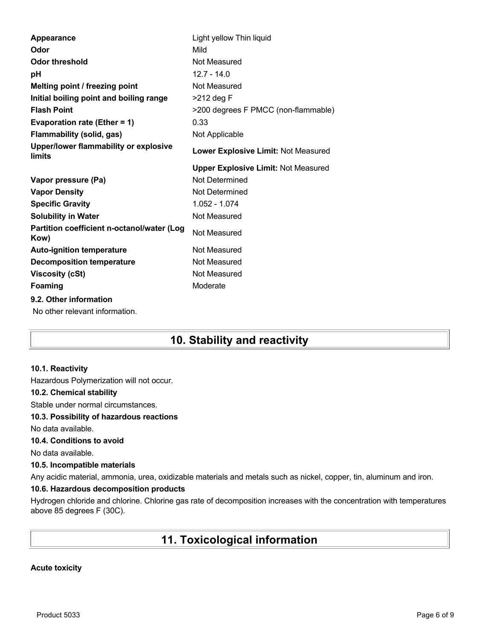| Appearance                                         | Light yellow Thin liquid                   |
|----------------------------------------------------|--------------------------------------------|
| Odor                                               | Mild                                       |
| <b>Odor threshold</b>                              | Not Measured                               |
| рH                                                 | $12.7 - 14.0$                              |
| Melting point / freezing point                     | Not Measured                               |
| Initial boiling point and boiling range            | $>212$ deg F                               |
| <b>Flash Point</b>                                 | >200 degrees F PMCC (non-flammable)        |
| Evaporation rate (Ether = 1)                       | 0.33                                       |
| <b>Flammability (solid, gas)</b>                   | Not Applicable                             |
| Upper/lower flammability or explosive<br>limits    | Lower Explosive Limit: Not Measured        |
|                                                    | <b>Upper Explosive Limit: Not Measured</b> |
|                                                    |                                            |
| Vapor pressure (Pa)                                | Not Determined                             |
| <b>Vapor Density</b>                               | Not Determined                             |
| <b>Specific Gravity</b>                            | 1.052 - 1.074                              |
| <b>Solubility in Water</b>                         | Not Measured                               |
| Partition coefficient n-octanol/water (Log<br>Kow) | Not Measured                               |
| <b>Auto-ignition temperature</b>                   | Not Measured                               |
| <b>Decomposition temperature</b>                   | Not Measured                               |
| <b>Viscosity (cSt)</b>                             | Not Measured                               |
| <b>Foaming</b>                                     | Moderate                                   |
| 9.2. Other information                             |                                            |

# **10. Stability and reactivity**

#### **10.1. Reactivity**

Hazardous Polymerization will not occur.

#### **10.2. Chemical stability**

Stable under normal circumstances.

#### **10.3. Possibility of hazardous reactions**

No data available.

### **10.4. Conditions to avoid**

No data available.

#### **10.5. Incompatible materials**

Any acidic material, ammonia, urea, oxidizable materials and metals such as nickel, copper, tin, aluminum and iron.

### **10.6. Hazardous decomposition products**

Hydrogen chloride and chlorine. Chlorine gas rate of decomposition increases with the concentration with temperatures above 85 degrees F (30C).

# **11. Toxicological information**

#### **Acute toxicity**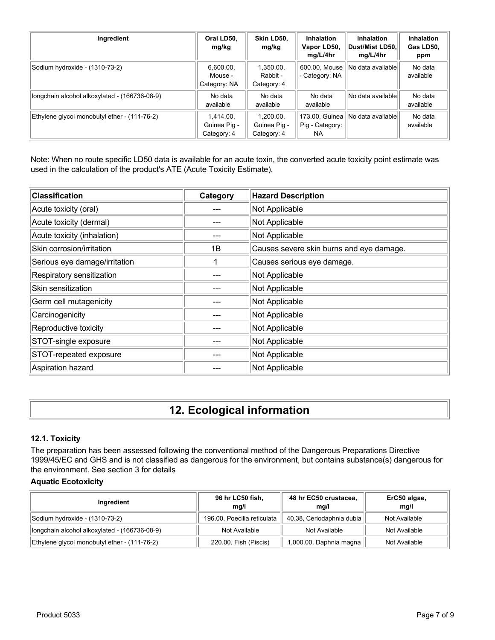| Ingredient                                    | Oral LD50,<br>mg/kg                      | Skin LD50,<br>mg/kg                      | <b>Inhalation</b><br>Vapor LD50,<br>mg/L/4hr | <b>Inhalation</b><br>Dust/Mist LD50.<br>mg/L/4hr | <b>Inhalation</b><br>Gas LD50,<br>ppm |
|-----------------------------------------------|------------------------------------------|------------------------------------------|----------------------------------------------|--------------------------------------------------|---------------------------------------|
| Sodium hydroxide - (1310-73-2)                | 6,600.00,<br>Mouse -<br>Category: NA     | 1,350.00,<br>Rabbit -<br>Category: 4     | 600.00, Mouse<br>- Category: NA              | No data available                                | No data<br>available                  |
| longchain alcohol alkoxylated - (166736-08-9) | No data<br>available                     | No data<br>available                     | No data<br>available                         | No data available                                | No data<br>available                  |
| Ethylene glycol monobutyl ether - (111-76-2)  | 1.414.00.<br>Guinea Pig -<br>Category: 4 | 1.200.00.<br>Guinea Pig -<br>Category: 4 | 173.00, Guinea<br>Pig - Category:<br>NA.     | INo data availablel                              | No data<br>available                  |

Note: When no route specific LD50 data is available for an acute toxin, the converted acute toxicity point estimate was used in the calculation of the product's ATE (Acute Toxicity Estimate).

| <b>Classification</b>         | Category | <b>Hazard Description</b>                |
|-------------------------------|----------|------------------------------------------|
| Acute toxicity (oral)         |          | Not Applicable                           |
| Acute toxicity (dermal)       |          | Not Applicable                           |
| Acute toxicity (inhalation)   |          | Not Applicable                           |
| Skin corrosion/irritation     | 1B       | Causes severe skin burns and eye damage. |
| Serious eye damage/irritation |          | Causes serious eye damage.               |
| Respiratory sensitization     |          | Not Applicable                           |
| Skin sensitization            |          | Not Applicable                           |
| Germ cell mutagenicity        |          | Not Applicable                           |
| Carcinogenicity               |          | Not Applicable                           |
| Reproductive toxicity         |          | Not Applicable                           |
| STOT-single exposure          |          | Not Applicable                           |
| STOT-repeated exposure        |          | Not Applicable                           |
| Aspiration hazard             |          | Not Applicable                           |

# **12. Ecological information**

### **12.1. Toxicity**

The preparation has been assessed following the conventional method of the Dangerous Preparations Directive 1999/45/EC and GHS and is not classified as dangerous for the environment, but contains substance(s) dangerous for the environment. See section 3 for details

## **Aquatic Ecotoxicity**

| Ingredient                                    | 96 hr LC50 fish,<br>mq/l    | 48 hr EC50 crustacea,<br>mg/l | ErC50 algae,<br>mq/l |
|-----------------------------------------------|-----------------------------|-------------------------------|----------------------|
| Sodium hydroxide - (1310-73-2)                | 196.00, Poecilia reticulata | 40.38, Ceriodaphnia dubia     | Not Available        |
| longchain alcohol alkoxylated - (166736-08-9) | Not Available               | Not Available                 | Not Available        |
| Ethylene glycol monobutyl ether - (111-76-2)  | 220.00, Fish (Piscis)       | 1,000.00, Daphnia magna       | Not Available        |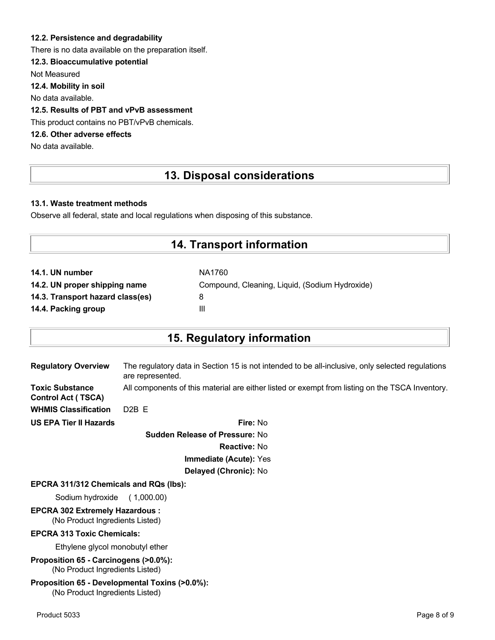### **12.2. Persistence and degradability**

There is no data available on the preparation itself.

### **12.3. Bioaccumulative potential**

Not Measured

**12.4. Mobility in soil**

No data available.

### **12.5. Results of PBT and vPvB assessment**

This product contains no PBT/vPvB chemicals.

# **12.6. Other adverse effects**

No data available.

# **13. Disposal considerations**

#### **13.1. Waste treatment methods**

Observe all federal, state and local regulations when disposing of this substance.

# **14. Transport information**

| NA1760                                         |
|------------------------------------------------|
| Compound, Cleaning, Liquid, (Sodium Hydroxide) |
| 8                                              |
| Ш                                              |
|                                                |

# **15. Regulatory information**

| <b>Regulatory Overview</b>                          | The regulatory data in Section 15 is not intended to be all-inclusive, only selected regulations<br>are represented. |
|-----------------------------------------------------|----------------------------------------------------------------------------------------------------------------------|
| <b>Toxic Substance</b><br><b>Control Act (TSCA)</b> | All components of this material are either listed or exempt from listing on the TSCA Inventory.                      |
| <b>WHMIS Classification</b>                         | $D2B$ F                                                                                                              |
| <b>US EPA Tier II Hazards</b>                       | Fire: No                                                                                                             |
|                                                     |                                                                                                                      |

**Sudden Release of Pressure:** No **Reactive:** No **Immediate (Acute):** Yes **Delayed (Chronic):** No

#### **EPCRA 311/312 Chemicals and RQs (lbs):**

Sodium hydroxide ( 1,000.00)

# **EPCRA 302 Extremely Hazardous :**

(No Product Ingredients Listed)

#### **EPCRA 313 Toxic Chemicals:**

Ethylene glycol monobutyl ether

**Proposition 65 - Carcinogens (>0.0%):** (No Product Ingredients Listed)

#### **Proposition 65 - Developmental Toxins (>0.0%):** (No Product Ingredients Listed)